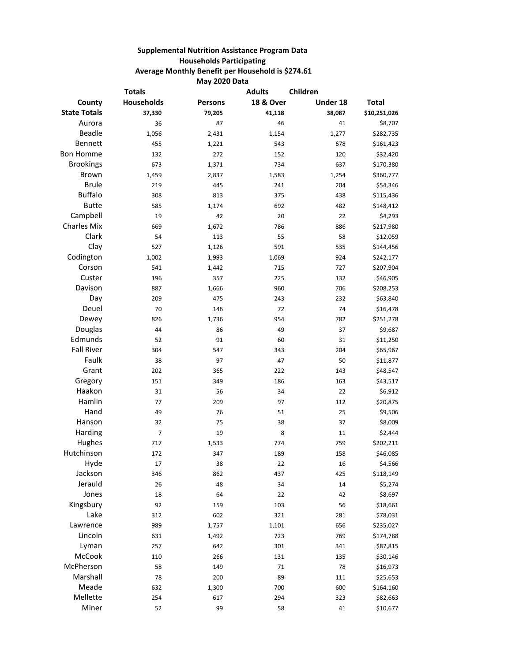## **Supplemental Nutrition Assistance Program Data Households Participating Average Monthly Benefit per Household is \$274.61 May 2020 Data**

| <b>Totals</b>       |            |                | <b>Adults</b>        | Children |              |
|---------------------|------------|----------------|----------------------|----------|--------------|
| County              | Households | <b>Persons</b> | <b>18 &amp; Over</b> | Under 18 | <b>Total</b> |
| <b>State Totals</b> | 37,330     | 79,205         | 41,118               | 38,087   | \$10,251,026 |
| Aurora              | 36         | 87             | 46                   | 41       | \$8,707      |
| <b>Beadle</b>       | 1,056      | 2,431          | 1,154                | 1,277    | \$282,735    |
| Bennett             | 455        | 1,221          | 543                  | 678      | \$161,423    |
| <b>Bon Homme</b>    | 132        | 272            | 152                  | 120      | \$32,420     |
| <b>Brookings</b>    | 673        | 1,371          | 734                  | 637      | \$170,380    |
| <b>Brown</b>        | 1,459      | 2,837          | 1,583                | 1,254    | \$360,777    |
| <b>Brule</b>        | 219        | 445            | 241                  | 204      | \$54,346     |
| <b>Buffalo</b>      | 308        | 813            | 375                  | 438      | \$115,436    |
| <b>Butte</b>        | 585        | 1,174          | 692                  | 482      | \$148,412    |
| Campbell            | 19         | 42             | 20                   | 22       | \$4,293      |
| <b>Charles Mix</b>  | 669        | 1,672          | 786                  | 886      | \$217,980    |
| Clark               | 54         | 113            | 55                   | 58       | \$12,059     |
| Clay                | 527        | 1,126          | 591                  | 535      | \$144,456    |
| Codington           | 1,002      | 1,993          | 1,069                | 924      | \$242,177    |
| Corson              | 541        | 1,442          | 715                  | 727      | \$207,904    |
| Custer              | 196        | 357            | 225                  | 132      | \$46,905     |
| Davison             | 887        | 1,666          | 960                  | 706      | \$208,253    |
| Day                 | 209        | 475            | 243                  | 232      | \$63,840     |
| Deuel               | 70         | 146            | 72                   | 74       | \$16,478     |
| Dewey               | 826        | 1,736          | 954                  | 782      | \$251,278    |
| Douglas             | 44         | 86             | 49                   | 37       | \$9,687      |
| Edmunds             | 52         | 91             | 60                   | 31       | \$11,250     |
| <b>Fall River</b>   | 304        | 547            | 343                  | 204      | \$65,967     |
| Faulk               | 38         | 97             | 47                   | 50       | \$11,877     |
| Grant               | 202        | 365            | 222                  | 143      | \$48,547     |
| Gregory             | 151        | 349            | 186                  | 163      | \$43,517     |
| Haakon              | 31         | 56             | 34                   | 22       | \$6,912      |
| Hamlin              | 77         | 209            | 97                   | 112      | \$20,875     |
| Hand                | 49         | 76             | 51                   | 25       | \$9,506      |
| Hanson              | 32         | 75             | 38                   | 37       | \$8,009      |
| Harding             | 7          | 19             | 8                    | 11       | \$2,444      |
| Hughes              | 717        | 1,533          | 774                  | 759      | \$202,211    |
| Hutchinson          | 172        | 347            | 189                  | 158      | \$46,085     |
| Hyde                | 17         | 38             | 22                   | 16       | \$4,566      |
| Jackson             | 346        | 862            | 437                  | 425      | \$118,149    |
| Jerauld             | 26         | 48             | 34                   | 14       | \$5,274      |
| Jones               | 18         | 64             | 22                   | 42       | \$8,697      |
| Kingsbury           | 92         | 159            | 103                  | 56       | \$18,661     |
| Lake                | 312        | 602            | 321                  | 281      | \$78,031     |
| Lawrence            | 989        | 1,757          | 1,101                | 656      | \$235,027    |
| Lincoln             | 631        | 1,492          | 723                  | 769      | \$174,788    |
| Lyman               | 257        | 642            | 301                  | 341      | \$87,815     |
| McCook              | 110        | 266            | 131                  | 135      | \$30,146     |
| McPherson           | 58         | 149            | $71\,$               | 78       | \$16,973     |
| Marshall            | 78         | 200            | 89                   | $111\,$  | \$25,653     |
| Meade               | 632        | 1,300          | 700                  | 600      | \$164,160    |
| Mellette            | 254        | 617            | 294                  | 323      | \$82,663     |
| Miner               | 52         | 99             | 58                   | 41       | \$10,677     |